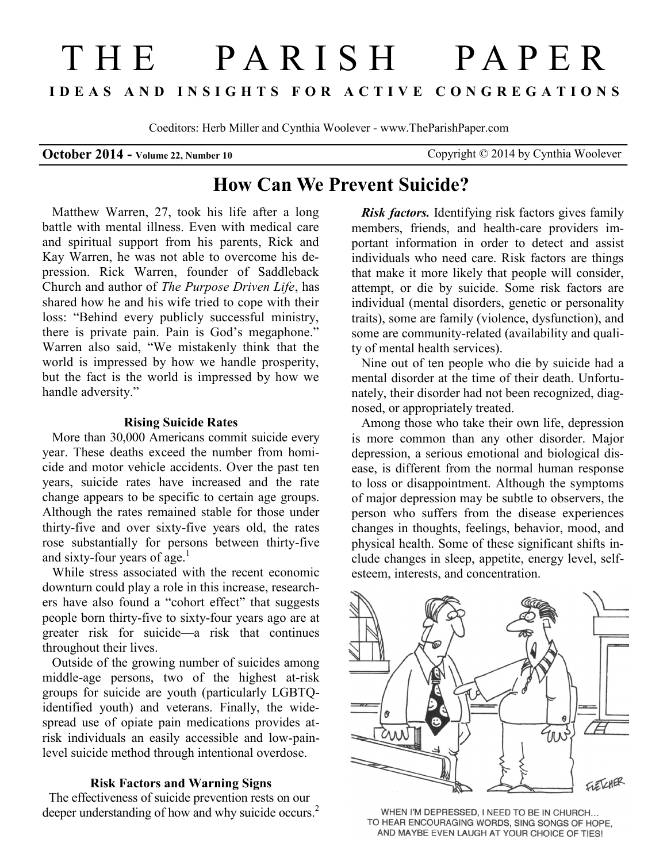# THE PARISH PAPER **I D E A S A N D I N S I G H T S F O R A C T I V E C O N G R E G A T I O N S**

Coeditors: Herb Miller and Cynthia Woolever - www.TheParishPaper.com

**October 2014 - Volume 22, Number 10** Copyright © 2014 by Cynthia Woolever

## **How Can We Prevent Suicide?**

Matthew Warren, 27, took his life after a long battle with mental illness. Even with medical care and spiritual support from his parents, Rick and Kay Warren, he was not able to overcome his depression. Rick Warren, founder of Saddleback Church and author of *The Purpose Driven Life*, has shared how he and his wife tried to cope with their loss: "Behind every publicly successful ministry, there is private pain. Pain is God's megaphone." Warren also said, "We mistakenly think that the world is impressed by how we handle prosperity, but the fact is the world is impressed by how we handle adversity."

#### **Rising Suicide Rates**

More than 30,000 Americans commit suicide every year. These deaths exceed the number from homicide and motor vehicle accidents. Over the past ten years, suicide rates have increased and the rate change appears to be specific to certain age groups. Although the rates remained stable for those under thirty-five and over sixty-five years old, the rates rose substantially for persons between thirty-five and sixty-four years of age.<sup>1</sup>

While stress associated with the recent economic downturn could play a role in this increase, researchers have also found a "cohort effect" that suggests people born thirty-five to sixty-four years ago are at greater risk for suicide—a risk that continues throughout their lives.

Outside of the growing number of suicides among middle-age persons, two of the highest at-risk groups for suicide are youth (particularly LGBTQidentified youth) and veterans. Finally, the widespread use of opiate pain medications provides atrisk individuals an easily accessible and low-painlevel suicide method through intentional overdose.

#### **Risk Factors and Warning Signs**

 The effectiveness of suicide prevention rests on our deeper understanding of how and why suicide occurs.<sup>2</sup>

*Risk factors.* Identifying risk factors gives family members, friends, and health-care providers important information in order to detect and assist individuals who need care. Risk factors are things that make it more likely that people will consider, attempt, or die by suicide. Some risk factors are individual (mental disorders, genetic or personality traits), some are family (violence, dysfunction), and some are community-related (availability and quality of mental health services).

Nine out of ten people who die by suicide had a mental disorder at the time of their death. Unfortunately, their disorder had not been recognized, diagnosed, or appropriately treated.

Among those who take their own life, depression is more common than any other disorder. Major depression, a serious emotional and biological disease, is different from the normal human response to loss or disappointment. Although the symptoms of major depression may be subtle to observers, the person who suffers from the disease experiences changes in thoughts, feelings, behavior, mood, and physical health. Some of these significant shifts include changes in sleep, appetite, energy level, selfesteem, interests, and concentration.



WHEN I'M DEPRESSED, I NEED TO BE IN CHURCH... TO HEAR ENCOURAGING WORDS, SING SONGS OF HOPE, AND MAYBE EVEN LAUGH AT YOUR CHOICE OF TIES!